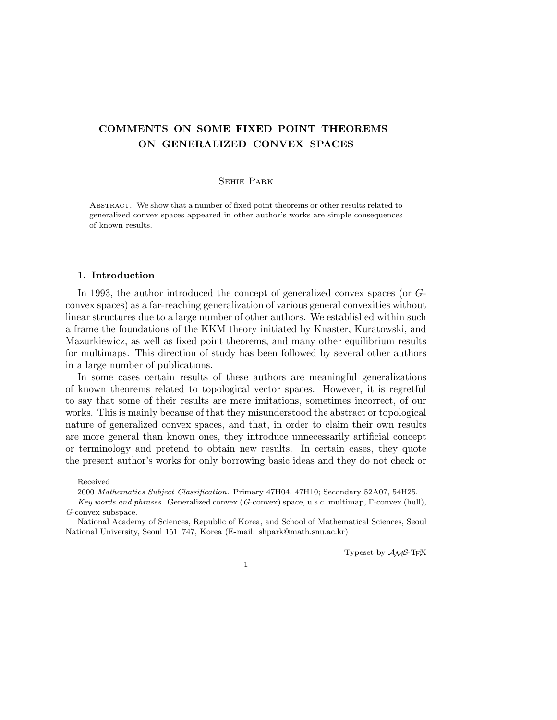# COMMENTS ON SOME FIXED POINT THEOREMS ON GENERALIZED CONVEX SPACES

# Sehie Park

Abstract. We show that a number of fixed point theorems or other results related to generalized convex spaces appeared in other author's works are simple consequences of known results.

# 1. Introduction

In 1993, the author introduced the concept of generalized convex spaces (or Gconvex spaces) as a far-reaching generalization of various general convexities without linear structures due to a large number of other authors. We established within such a frame the foundations of the KKM theory initiated by Knaster, Kuratowski, and Mazurkiewicz, as well as fixed point theorems, and many other equilibrium results for multimaps. This direction of study has been followed by several other authors in a large number of publications.

In some cases certain results of these authors are meaningful generalizations of known theorems related to topological vector spaces. However, it is regretful to say that some of their results are mere imitations, sometimes incorrect, of our works. This is mainly because of that they misunderstood the abstract or topological nature of generalized convex spaces, and that, in order to claim their own results are more general than known ones, they introduce unnecessarily artificial concept or terminology and pretend to obtain new results. In certain cases, they quote the present author's works for only borrowing basic ideas and they do not check or

Typeset by  $\mathcal{A}_{\mathcal{M}}\mathcal{S}\text{-}\mathrm{TEX}$ 

1

Received

<sup>2000</sup> Mathematics Subject Classification. Primary 47H04, 47H10; Secondary 52A07, 54H25.

Key words and phrases. Generalized convex (G-convex) space, u.s.c. multimap, Γ-convex (hull), G-convex subspace.

National Academy of Sciences, Republic of Korea, and School of Mathematical Sciences, Seoul National University, Seoul 151–747, Korea (E-mail: shpark@math.snu.ac.kr)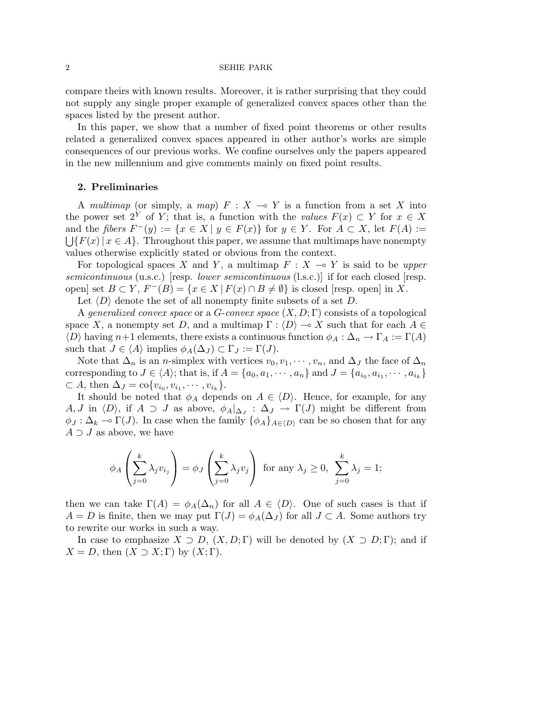compare theirs with known results. Moreover, it is rather surprising that they could not supply any single proper example of generalized convex spaces other than the spaces listed by the present author.

In this paper, we show that a number of fixed point theorems or other results related a generalized convex spaces appeared in other author's works are simple consequences of our previous works. We confine ourselves only the papers appeared in the new millennium and give comments mainly on fixed point results.

### 2. Preliminaries

A multimap (or simply, a map)  $F : X \to Y$  is a function from a set X into the power set  $2^Y$  of Y; that is, a function with the values  $F(x) \subset Y$  for  $x \in X$ and the fibers  $F^-(y) := \{x \in X \mid y \in F(x)\}$  for  $y \in Y$ . For  $A \subset X$ , let  $F(A) :=$  $\left| \int F(x) \right| x \in A$ . Throughout this paper, we assume that multimaps have nonempty values otherwise explicitly stated or obvious from the context.

For topological spaces X and Y, a multimap  $F : X \to Y$  is said to be upper semicontinuous (u.s.c.) [resp. lower semicontinuous (l.s.c.)] if for each closed [resp. open] set  $B \subset Y$ ,  $F^{-}(B) = \{x \in X \mid F(x) \cap B \neq \emptyset\}$  is closed [resp. open] in X.

Let  $\langle D \rangle$  denote the set of all nonempty finite subsets of a set D.

A generalized convex space or a G-convex space  $(X, D; \Gamma)$  consists of a topological space X, a nonempty set D, and a multimap  $\Gamma : \langle D \rangle \longrightarrow X$  such that for each  $A \in$  $\langle D \rangle$  having n+1 elements, there exists a continuous function  $\phi_A : \Delta_n \to \Gamma_A := \Gamma(A)$ such that  $J \in \langle A \rangle$  implies  $\phi_A(\Delta_J) \subset \Gamma_J := \Gamma(J)$ .

Note that  $\Delta_n$  is an n-simplex with vertices  $v_0, v_1, \dots, v_n$ , and  $\Delta_J$  the face of  $\Delta_n$ corresponding to  $J \in \langle A \rangle$ ; that is, if  $A = \{a_0, a_1, \dots, a_n\}$  and  $J = \{a_{i_0}, a_{i_1}, \dots, a_{i_k}\}\$  $\subset A$ , then  $\Delta_J = \text{co}\{v_{i_0}, v_{i_1}, \cdots, v_{i_k}\}.$ 

It should be noted that  $\phi_A$  depends on  $A \in \langle D \rangle$ . Hence, for example, for any A, J in  $\langle D \rangle$ , if  $A \supset J$  as above,  $\phi_A|_{\Delta_J} : \Delta_J \to \Gamma(J)$  might be different from  $\phi_J : \Delta_k \to \Gamma(J)$ . In case when the family  $\{\phi_A\}_{A\in \langle D\rangle}$  can be so chosen that for any  $A \supset J$  as above, we have

$$
\phi_A\left(\sum_{j=0}^k\lambda_jv_{i_j}\right) = \phi_J\left(\sum_{j=0}^k\lambda_jv_j\right) \text{ for any } \lambda_j \ge 0, \sum_{j=0}^k\lambda_j = 1;
$$

then we can take  $\Gamma(A) = \phi_A(\Delta_n)$  for all  $A \in \langle D \rangle$ . One of such cases is that if  $A = D$  is finite, then we may put  $\Gamma(J) = \phi_A(\Delta_J)$  for all  $J \subset A$ . Some authors try to rewrite our works in such a way.

In case to emphasize  $X \supset D$ ,  $(X, D; \Gamma)$  will be denoted by  $(X \supset D; \Gamma)$ ; and if  $X = D$ , then  $(X \supset X; \Gamma)$  by  $(X; \Gamma)$ .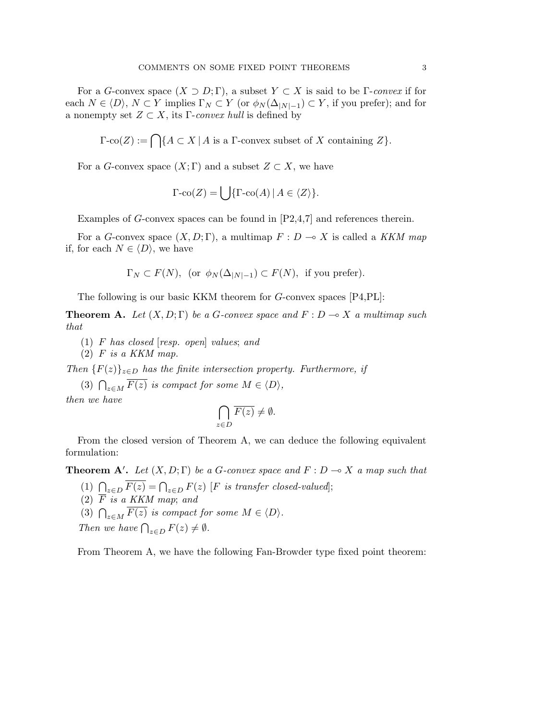For a G-convex space  $(X \supset D; \Gamma)$ , a subset  $Y \subset X$  is said to be  $\Gamma$ -convex if for each  $N \in \langle D \rangle$ ,  $N \subset Y$  implies  $\Gamma_N \subset Y$  (or  $\phi_N(\Delta_{|N|-1}) \subset Y$ , if you prefer); and for a nonempty set  $Z \subset X$ , its Γ-convex hull is defined by

$$
\Gamma\text{-}\mathrm{co}(Z) := \bigcap \{ A \subset X \mid A \text{ is a } \Gamma\text{-}\mathrm{convex subset of } X \text{ containing } Z \}.
$$

For a G-convex space  $(X; \Gamma)$  and a subset  $Z \subset X$ , we have

$$
\Gamma\text{-}\mathrm{co}(Z) = \bigcup \{\Gamma\text{-}\mathrm{co}(A) \,|\, A \in \langle Z \rangle\}.
$$

Examples of G-convex spaces can be found in [P2,4,7] and references therein.

For a G-convex space  $(X, D; \Gamma)$ , a multimap  $F: D \to X$  is called a KKM map if, for each  $N \in \langle D \rangle$ , we have

$$
\Gamma_N \subset F(N)
$$
, (or  $\phi_N(\Delta_{|N|-1}) \subset F(N)$ , if you prefer).

The following is our basic KKM theorem for G-convex spaces [P4,PL]:

**Theorem A.** Let  $(X, D; \Gamma)$  be a G-convex space and  $F: D \to X$  a multimap such that

- (1) F has closed [resp. open] values; and
- $(2)$  F is a KKM map.

Then  ${F(z)}_{z\in D}$  has the finite intersection property. Furthermore, if

(3)  $\bigcap_{z \in M} \overline{F(z)}$  is compact for some  $M \in \langle D \rangle$ ,  $\sim$ 

then we have

$$
\bigcap_{z \in D} \overline{F(z)} \neq \emptyset.
$$

From the closed version of Theorem A, we can deduce the following equivalent formulation:

**Theorem A'.** Let  $(X, D; \Gamma)$  be a G-convex space and  $F: D \to X$  a map such that

- (1)  $\bigcap_{z \in D} \overline{F(z)} = \bigcap_{z \in D} F(z)$  [*F* is transfer closed-valued];
- $(2)$   $\overline{F}$  is a KKM map; and
- (2)  $\Gamma$  is a KKM map, and<br>(3)  $\bigcap_{z \in M} \overline{F(z)}$  is compact for some  $M \in \langle D \rangle$ .
- Then we have  $\bigcap_{z \in D} F(z) \neq \emptyset$ .

From Theorem A, we have the following Fan-Browder type fixed point theorem: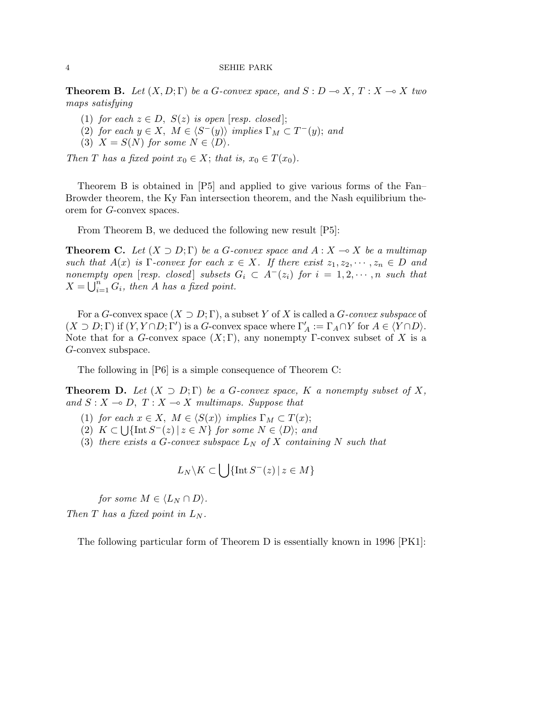**Theorem B.** Let  $(X, D; \Gamma)$  be a G-convex space, and  $S: D \to X, T: X \to X$  two maps satisfying

- (1) for each  $z \in D$ ,  $S(z)$  is open [resp. closed];
- (2) for each  $y \in X$ ,  $M \in \langle S^-(y) \rangle$  implies  $\Gamma_M \subset T^-(y)$ ; and
- (3)  $X = S(N)$  for some  $N \in \langle D \rangle$ .

Then T has a fixed point  $x_0 \in X$ ; that is,  $x_0 \in T(x_0)$ .

Theorem B is obtained in [P5] and applied to give various forms of the Fan– Browder theorem, the Ky Fan intersection theorem, and the Nash equilibrium theorem for G-convex spaces.

From Theorem B, we deduced the following new result [P5]:

**Theorem C.** Let  $(X \supset D; \Gamma)$  be a G-convex space and  $A: X \to X$  be a multimap such that  $A(x)$  is  $\Gamma$ -convex for each  $x \in X$ . If there exist  $z_1, z_2, \dots, z_n \in D$  and nonempty open [resp. closed] subsets  $G_i \subset A^-(z_i)$  for  $i = 1, 2, \dots, n$  such that  $X = \bigcup_{i=1}^{n} G_i$ , then A has a fixed point.

For a G-convex space  $(X \supset D; \Gamma)$ , a subset Y of X is called a G-convex subspace of  $(X \supset D; \Gamma)$  if  $(Y, Y \cap D; \Gamma')$  is a G-convex space where  $\Gamma'_A := \Gamma_A \cap Y$  for  $A \in \langle Y \cap D \rangle$ . Note that for a G-convex space  $(X; \Gamma)$ , any nonempty  $\Gamma$ -convex subset of X is a G-convex subspace.

The following in [P6] is a simple consequence of Theorem C:

**Theorem D.** Let  $(X \supset D; \Gamma)$  be a G-convex space, K a nonempty subset of X, and  $S : X \to D$ ,  $T : X \to X$  multimaps. Suppose that

- (1) for each  $x \in X$ ,  $M \in \langle S(x) \rangle$  implies  $\Gamma_M \subset T(x)$ ;
- (2)  $K \subset \bigcup \{ \text{Int } S^{-}(z) \mid z \in N \}$  for some  $N \in \langle D \rangle$ ; and
- (3) there exists a G-convex subspace  $L_N$  of X containing N such that

$$
L_N \backslash K \subset \bigcup \{ \text{Int } S^-(z) \, | \, z \in M \}
$$

for some  $M \in \langle L_N \cap D \rangle$ . Then  $T$  has a fixed point in  $L_N$ .

The following particular form of Theorem D is essentially known in 1996 [PK1]: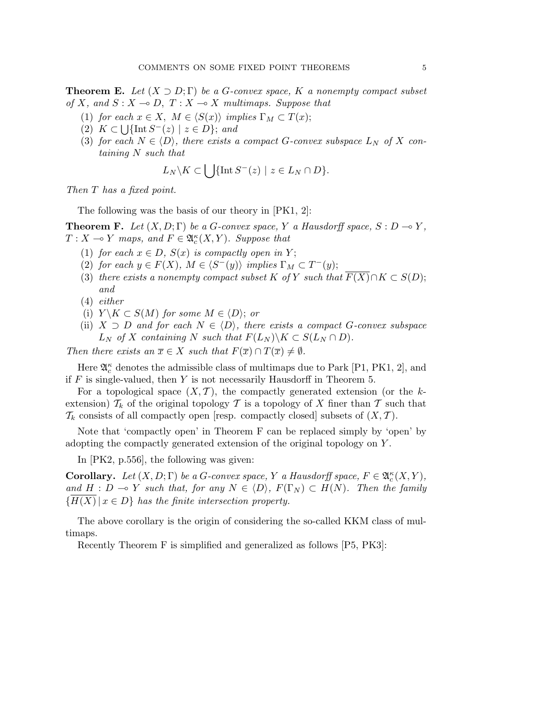**Theorem E.** Let  $(X \supset D; \Gamma)$  be a G-convex space, K a nonempty compact subset of X, and  $S : X \longrightarrow D, T : X \longrightarrow X$  multimaps. Suppose that

- (1) for each  $x \in X$ ,  $M \in \langle S(x) \rangle$  implies  $\Gamma_M \subset T(x)$ ;
- (2)  $K \subset \bigcup \{ \text{Int } S^{-}(z) \mid z \in D \};$  and
- (3) for each  $N \in \langle D \rangle$ , there exists a compact G-convex subspace  $L_N$  of X containing N such that

$$
L_N \backslash K \subset \bigcup \{ \text{Int } S^-(z) \mid z \in L_N \cap D \}.
$$

Then T has a fixed point.

The following was the basis of our theory in [PK1, 2]:

**Theorem F.** Let  $(X, D; \Gamma)$  be a G-convex space, Y a Hausdorff space,  $S: D \to Y$ ,  $T: X \longrightarrow Y$  maps, and  $F \in \mathfrak{A}_{c}^{\kappa}(X, Y)$ . Suppose that

- (1) for each  $x \in D$ ,  $S(x)$  is compactly open in Y;
- (2) for each  $y \in F(X)$ ,  $M \in \langle S^-(y) \rangle$  implies  $\Gamma_M \subset T^-(y)$ ;
- (3) there exists a nonempty compact subset K of Y such that  $\overline{F(X)} \cap K \subset S(D)$ ; and
- (4) either
- (i)  $Y \backslash K \subset S(M)$  for some  $M \in \langle D \rangle$ ; or
- (ii)  $X \supset D$  and for each  $N \in \langle D \rangle$ , there exists a compact G-convex subspace  $L_N$  of X containing N such that  $F(L_N) \backslash K \subset S(L_N \cap D)$ .

Then there exists an  $\overline{x} \in X$  such that  $F(\overline{x}) \cap T(\overline{x}) \neq \emptyset$ .

Here  $\mathfrak{A}_{c}^{\kappa}$  denotes the admissible class of multimaps due to Park [P1, PK1, 2], and if  $F$  is single-valued, then  $Y$  is not necessarily Hausdorff in Theorem 5.

For a topological space  $(X, \mathcal{T})$ , the compactly generated extension (or the kextension)  $\mathcal{T}_k$  of the original topology  $\mathcal T$  is a topology of X finer than  $\mathcal T$  such that  $\mathcal{T}_k$  consists of all compactly open [resp. compactly closed] subsets of  $(X, \mathcal{T})$ .

Note that 'compactly open' in Theorem F can be replaced simply by 'open' by adopting the compactly generated extension of the original topology on Y .

In [PK2, p.556], the following was given:

**Corollary.** Let  $(X, D; \Gamma)$  be a G-convex space, Y a Hausdorff space,  $F \in \mathfrak{A}_{c}^{\kappa}(X, Y)$ , and  $H : D \multimap Y$  such that, for any  $N \in \langle D \rangle$ ,  $F(\Gamma_N) \subset H(N)$ . Then the family  ${H(X) | x \in D}$  has the finite intersection property.

The above corollary is the origin of considering the so-called KKM class of multimaps.

Recently Theorem F is simplified and generalized as follows [P5, PK3]: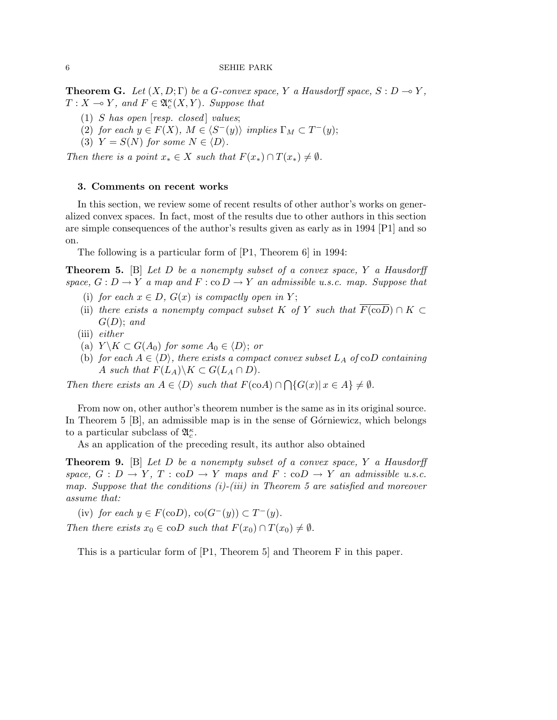**Theorem G.** Let  $(X, D; \Gamma)$  be a G-convex space, Y a Hausdorff space,  $S: D \to Y$ ,  $T: X \longrightarrow Y$ , and  $F \in \mathfrak{A}_{c}^{\kappa}(X, Y)$ . Suppose that

- (1) S has open  $[resp. closed]$  values;
- (2) for each  $y \in F(X)$ ,  $M \in \langle S^-(y) \rangle$  implies  $\Gamma_M \subset T^-(y)$ ;
- (3)  $Y = S(N)$  for some  $N \in \langle D \rangle$ .

Then there is a point  $x_* \in X$  such that  $F(x_*) \cap T(x_*) \neq \emptyset$ .

#### 3. Comments on recent works

In this section, we review some of recent results of other author's works on generalized convex spaces. In fact, most of the results due to other authors in this section are simple consequences of the author's results given as early as in 1994 [P1] and so on.

The following is a particular form of [P1, Theorem 6] in 1994:

**Theorem 5.** [B] Let D be a nonempty subset of a convex space, Y a Hausdorff space,  $G: D \to Y$  a map and  $F: \text{co } D \to Y$  an admissible u.s.c. map. Suppose that

- (i) for each  $x \in D$ ,  $G(x)$  is compactly open in Y;
- (ii) there exists a nonempty compact subset K of Y such that  $\overline{F(\text{co}D}) \cap K \subset$  $G(D)$ ; and
- (iii) either
- (a)  $Y \backslash K \subset G(A_0)$  for some  $A_0 \in \langle D \rangle$ ; or
- (b) for each  $A \in \langle D \rangle$ , there exists a compact convex subset  $L_A$  of coD containing A such that  $F(L_A)\backslash K \subset G(L_A \cap D)$ .  $\overline{a}$

Then there exists an  $A \in \langle D \rangle$  such that  $F(\text{co}A) \cap$  $\{G(x)| x \in A\} \neq \emptyset.$ 

From now on, other author's theorem number is the same as in its original source. In Theorem  $5$  [B], an admissible map is in the sense of Górniewicz, which belongs to a particular subclass of  $\mathfrak{A}_{c}^{\kappa}$ .

As an application of the preceding result, its author also obtained

**Theorem 9.** [B] Let D be a nonempty subset of a convex space, Y a Hausdorff space,  $G : D \to Y$ ,  $T : coD \to Y$  maps and  $F : coD \to Y$  an admissible u.s.c. map. Suppose that the conditions  $(i)$ - $(iii)$  in Theorem 5 are satisfied and moreover assume that:

(iv) for each  $y \in F(\text{co}D)$ ,  $\text{co}(G^-(y)) \subset T^-(y)$ . Then there exists  $x_0 \in \text{co}D$  such that  $F(x_0) \cap T(x_0) \neq \emptyset$ .

This is a particular form of [P1, Theorem 5] and Theorem F in this paper.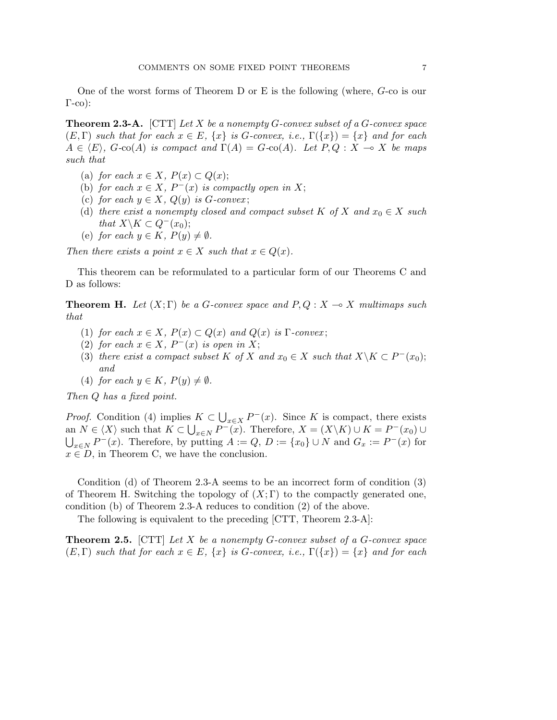One of the worst forms of Theorem D or E is the following (where, G-co is our  $\Gamma$ -co):

**Theorem 2.3-A.** [CTT] Let X be a nonempty G-convex subset of a G-convex space  $(E, \Gamma)$  such that for each  $x \in E$ ,  $\{x\}$  is G-convex, i.e.,  $\Gamma(\{x\}) = \{x\}$  and for each  $A \in \langle E \rangle$ , G-co(A) is compact and  $\Gamma(A) = G$ -co(A). Let  $P, Q : X \to X$  be maps such that

- (a) for each  $x \in X$ ,  $P(x) \subset Q(x)$ ;
- (b) for each  $x \in X$ ,  $P^{-}(x)$  is compactly open in X;
- (c) for each  $y \in X$ ,  $Q(y)$  is G-convex;
- (d) there exist a nonempty closed and compact subset K of X and  $x_0 \in X$  such that  $X\backslash K \subset Q^-(x_0);$
- (e) for each  $y \in K$ ,  $P(y) \neq \emptyset$ .

Then there exists a point  $x \in X$  such that  $x \in Q(x)$ .

This theorem can be reformulated to a particular form of our Theorems C and D as follows:

**Theorem H.** Let  $(X;\Gamma)$  be a G-convex space and  $P,Q: X \to X$  multimaps such that

- (1) for each  $x \in X$ ,  $P(x) \subset Q(x)$  and  $Q(x)$  is  $\Gamma$ -convex;
- (2) for each  $x \in X$ ,  $P^-(x)$  is open in X;
- (3) there exist a compact subset K of X and  $x_0 \in X$  such that  $X \backslash K \subset P^-(x_0)$ ; and
- (4) for each  $y \in K$ ,  $P(y) \neq \emptyset$ .

Then Q has a fixed point.

*Proof.* Condition (4) implies  $K \subset$ S s  $K \subset \bigcup_{x \in X} P^{-}(x)$ . Since K is compact, there exists an  $N \in \langle X \rangle$  such that  $K \subset \bigcup_{x \in N} P^-(x)$ . Therefore,  $X = (X \setminus K) \cup K = P^-(x_0) \cup$  $_{x\in N}P^-(x)$ . Therefore, by putting  $A := Q, D := \{x_0\} \cup N$  and  $G_x := P^-(x)$  for  $x \in D$ , in Theorem C, we have the conclusion.

Condition (d) of Theorem 2.3-A seems to be an incorrect form of condition (3) of Theorem H. Switching the topology of  $(X; \Gamma)$  to the compactly generated one, condition (b) of Theorem 2.3-A reduces to condition (2) of the above.

The following is equivalent to the preceding [CTT, Theorem 2.3-A]:

**Theorem 2.5.** [CTT] Let X be a nonempty G-convex subset of a G-convex space  $(E, \Gamma)$  such that for each  $x \in E$ ,  $\{x\}$  is G-convex, i.e.,  $\Gamma(\{x\}) = \{x\}$  and for each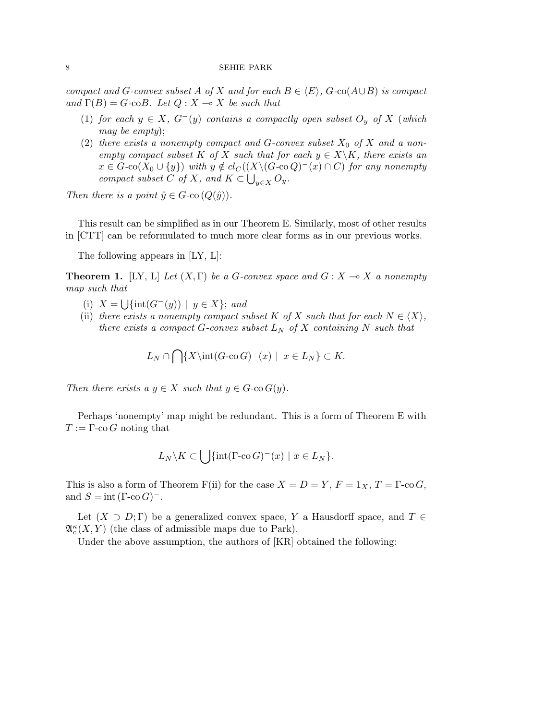compact and G-convex subset A of X and for each  $B \in \langle E \rangle$ , G-co( $A \cup B$ ) is compact and  $\Gamma(B) = G$ -coB. Let  $Q: X \to X$  be such that

- (1) for each  $y \in X$ ,  $G^{-}(y)$  contains a compactly open subset  $O_y$  of X (which may be empty);
- (2) there exists a nonempty compact and G-convex subset  $X_0$  of X and a nonempty compact subset K of X such that for each  $y \in X \backslash K$ , there exists an  $x \in G\text{-co}(X_0 \cup \{y\})$  with  $y \notin cl_C((X \setminus (G\text{-co }Q)^-(x) \cap C))$  for any nonempty compact subset C of X, and  $K \subset \bigcup_{y \in X} O_y$ .

Then there is a point  $\hat{y} \in G$ -co $(Q(\hat{y}))$ .

This result can be simplified as in our Theorem E. Similarly, most of other results in [CTT] can be reformulated to much more clear forms as in our previous works.

The following appears in [LY, L]:

**Theorem 1.** [LY, L] Let  $(X, \Gamma)$  be a G-convex space and  $G: X \to X$  a nonempty map such that

- $(i)$   $X =$  $\bigcup \{\text{int}(G^-(y)) \mid y \in X\};$  and
- (ii) there exists a nonempty compact subset K of X such that for each  $N \in \langle X \rangle$ , there exists a compact G-convex subset  $L_N$  of X containing N such that

$$
L_N \cap \bigcap \{X \in G \cap G \mid x \in L_N\} \subset K.
$$

Then there exists a  $y \in X$  such that  $y \in G$ -co  $G(y)$ .

Perhaps 'nonempty' map might be redundant. This is a form of Theorem E with  $T := \Gamma$ -co G noting that

$$
L_N \backslash K \subset \bigcup \{ \text{int}(\Gamma \text{-co } G)^-(x) \mid x \in L_N \}.
$$

This is also a form of Theorem F(ii) for the case  $X = D = Y, F = 1_X, T = \Gamma$ -co G, and  $S = \text{int} (\Gamma - \text{co} G)^{-}$ .

Let  $(X \supset D; \Gamma)$  be a generalized convex space, Y a Hausdorff space, and  $T \in$  $\mathfrak{A}_{c}^{\kappa}(X,Y)$  (the class of admissible maps due to Park).

Under the above assumption, the authors of [KR] obtained the following: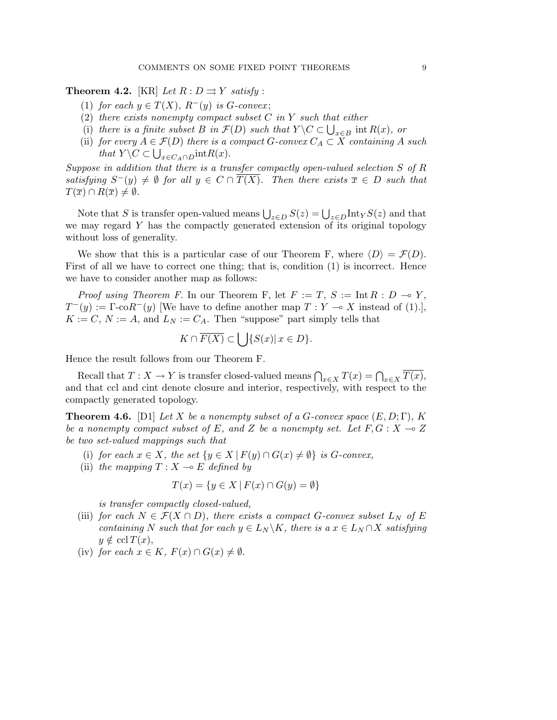# Theorem 4.2. [KR] Let  $R : D \rightrightarrows Y$  satisfy :

- (1) for each  $y \in T(X)$ ,  $R^-(y)$  is G-convex;
- (2) there exists nonempty compact subset  $C$  in  $Y$  such that either
- (i) there is a finite subset B in  $\mathcal{F}(D)$  such that  $Y \setminus C \subset \bigcup_{x \in B} \text{int } R(x)$ , or
- (ii) for every  $A \in \mathcal{F}(D)$  there is a compact  $G$ -convex  $C_A \subset X$  containing A such that  $Y \setminus C \subset \bigcup_{x \in C_A \cap D} \text{int}R(x)$ .

Suppose in addition that there is a transfer compactly open-valued selection S of R satisfying  $S^-(y) \neq \emptyset$  for all  $y \in C \cap \overline{T(X)}$ . Then there exists  $\overline{x} \in D$  such that  $T(\overline{x}) \cap R(\overline{x}) \neq \emptyset$ .

Note that S is transfer open-valued means  $\bigcup_{z \in D} S(z) = \bigcup_{z \in D} \text{Int}_Y S(z)$  and that we may regard Y has the compactly generated extension of its original topology without loss of generality.

We show that this is a particular case of our Theorem F, where  $\langle D \rangle = \mathcal{F}(D)$ . First of all we have to correct one thing; that is, condition (1) is incorrect. Hence we have to consider another map as follows:

*Proof using Theorem F.* In our Theorem F, let  $F := T$ ,  $S := \text{Int } R : D \to Y$ ,  $T^-(y) := \Gamma$ -co $R^-(y)$  [We have to define another map  $T : Y \to X$  instead of (1).],  $K := C, N := A$ , and  $L_N := C_A$ . Then "suppose" part simply tells that

$$
K \cap \overline{F(X)} \subset \bigcup \{ S(x) | x \in D \}.
$$

Hence the result follows from our Theorem F.

Recall that  $T: X \to Y$  is transfer closed-valued means  $\bigcap_{x \in X} T(x) = \bigcap_{x \in X} \overline{T(x)}$ , and that ccl and cint denote closure and interior, respectively, with respect to the compactly generated topology.

**Theorem 4.6.** [D1] Let X be a nonempty subset of a G-convex space  $(E, D; \Gamma)$ , K be a nonempty compact subset of E, and Z be a nonempty set. Let  $F, G: X \rightarrow Z$ be two set-valued mappings such that

- (i) for each  $x \in X$ , the set  $\{y \in X \mid F(y) \cap G(x) \neq \emptyset\}$  is G-convex,
- (ii) the mapping  $T : X \rightarrow E$  defined by

$$
T(x) = \{ y \in X \mid F(x) \cap G(y) = \emptyset \}
$$

is transfer compactly closed-valued,

- (iii) for each  $N \in \mathcal{F}(X \cap D)$ , there exists a compact G-convex subset  $L_N$  of E containing N such that for each  $y \in L_N \backslash K$ , there is a  $x \in L_N \cap X$  satisfying  $y \notin \operatorname{ccl} T(x),$
- (iv) for each  $x \in K$ ,  $F(x) \cap G(x) \neq \emptyset$ .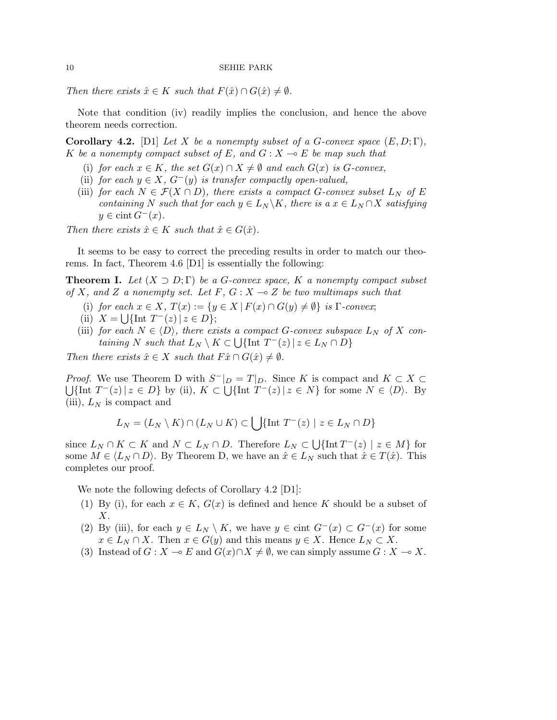Then there exists  $\hat{x} \in K$  such that  $F(\hat{x}) \cap G(\hat{x}) \neq \emptyset$ .

Note that condition (iv) readily implies the conclusion, and hence the above theorem needs correction.

**Corollary 4.2.** [D1] Let X be a nonempty subset of a G-convex space  $(E, D; \Gamma)$ , K be a nonempty compact subset of E, and  $G: X \rightarrow E$  be map such that

- (i) for each  $x \in K$ , the set  $G(x) \cap X \neq \emptyset$  and each  $G(x)$  is G-convex,
- (ii) for each  $y \in X$ ,  $G^-(y)$  is transfer compactly open-valued,
- (iii) for each  $N \in \mathcal{F}(X \cap D)$ , there exists a compact G-convex subset  $L_N$  of E containing N such that for each  $y \in L_N \backslash K$ , there is a  $x \in L_N \cap X$  satisfying  $y \in \text{cint } G^{-}(x)$ .

Then there exists  $\hat{x} \in K$  such that  $\hat{x} \in G(\hat{x})$ .

It seems to be easy to correct the preceding results in order to match our theorems. In fact, Theorem 4.6 [D1] is essentially the following:

**Theorem I.** Let  $(X \supset D; \Gamma)$  be a G-convex space, K a nonempty compact subset of X, and Z a nonempty set. Let F,  $G: X \to Z$  be two multimaps such that

- (i) for each  $x \in X$ ,  $T(x) := \{y \in X \mid F(x) \cap G(y) \neq \emptyset\}$  is  $\Gamma$ -convex;
- (ii)  $X = \bigcup \{ \text{Int } T^{-}(z) \mid z \in D \};$
- (iii) for each  $N \in \langle D \rangle$ , there exists a compact G-convex subspace  $L_N$  of X containing N such that  $L_N \setminus K \subset \bigcup \{ \text{Int } T^-(z) \mid z \in L_N \cap D \}$

Then there exists  $\hat{x} \in X$  such that  $F\hat{x} \cap G(\hat{x}) \neq \emptyset$ .

*Proof.* We use Theorem D with  $S^{-}|_D = T|_D$ . Since K is compact and  $K \subset X \subset$  $\{\text{Int }T^-(z)\,|\,z\in D\}$  by (ii),  $K\subset \bigcup\{\text{Int }T^-(z)\,|\,z\in N\}$  for some  $N\in \langle D\rangle$ . By (iii),  $L<sub>N</sub>$  is compact and

$$
L_N = (L_N \setminus K) \cap (L_N \cup K) \subset \bigcup \{\text{Int } T^-(z) \mid z \in L_N \cap D\}
$$

since  $L_N \cap K \subset K$  and  $N \subset L_N \cap D$ . Therefore  $L_N \subset$ S  $\{\text{Int }T^-(z)\mid z\in M\}$  for some  $M \in \langle L_N \cap D \rangle$ . By Theorem D, we have an  $\hat{x} \in L_N$  such that  $\hat{x} \in T(\hat{x})$ . This completes our proof.

We note the following defects of Corollary 4.2 [D1]:

- (1) By (i), for each  $x \in K$ ,  $G(x)$  is defined and hence K should be a subset of X.
- (2) By (iii), for each  $y \in L_N \setminus K$ , we have  $y \in \text{cint } G^-(x) \subset G^-(x)$  for some  $x \in L_N \cap X$ . Then  $x \in G(y)$  and this means  $y \in X$ . Hence  $L_N \subset X$ .
- (3) Instead of  $G : X \to E$  and  $G(x) \cap X \neq \emptyset$ , we can simply assume  $G : X \to X$ .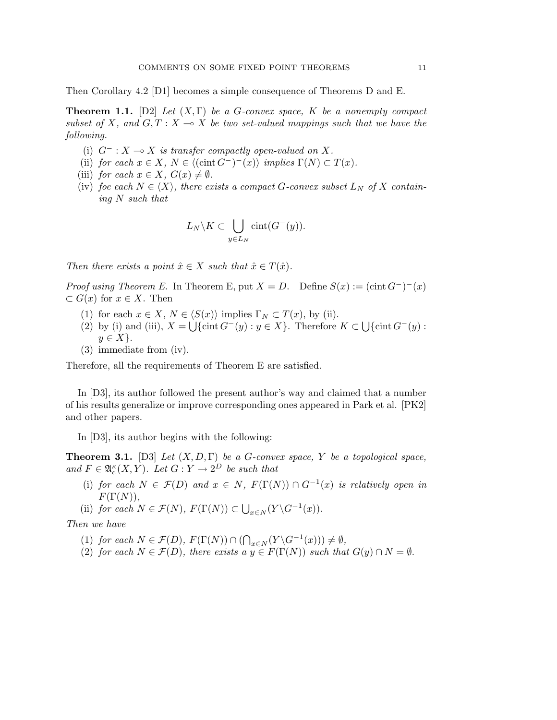Then Corollary 4.2 [D1] becomes a simple consequence of Theorems D and E.

**Theorem 1.1.** [D2] Let  $(X, \Gamma)$  be a G-convex space, K be a nonempty compact subset of X, and  $G, T : X \to X$  be two set-valued mappings such that we have the following.

- (i)  $G^-$  :  $X \multimap X$  is transfer compactly open-valued on X.
- (ii) for each  $x \in X$ ,  $N \in \langle (\text{cint } G^-)^-(x) \rangle$  implies  $\Gamma(N) \subset T(x)$ .
- (iii) for each  $x \in X$ ,  $G(x) \neq \emptyset$ .
- (iv) foe each  $N \in \langle X \rangle$ , there exists a compact G-convex subset  $L_N$  of X containing N such that

$$
L_N \backslash K \subset \bigcup_{y \in L_N} \text{cint}(G^-(y)).
$$

Then there exists a point  $\hat{x} \in X$  such that  $\hat{x} \in T(\hat{x})$ .

Proof using Theorem E. In Theorem E, put  $X = D$ . Define  $S(x) := (\text{cint } G^{-})^{-}(x)$  $\subset G(x)$  for  $x \in X$ . Then

- (1) for each  $x \in X$ ,  $N \in \langle S(x) \rangle$  implies  $\Gamma_N \subset T(x)$ , by (ii).
- (1) for each  $x \in X$ ,  $N \in \langle S(x) \rangle$  implies  $\Gamma_N \subset I(x)$ , by (ii).<br>(2) by (i) and (iii),  $X = \bigcup {\rm{crit}} G^-(y) : y \in X$ . Therefore  $K \subset \bigcup {\rm{crit}} G^-(y)$ :  $y \in X$ .
- (3) immediate from (iv).

Therefore, all the requirements of Theorem E are satisfied.

In [D3], its author followed the present author's way and claimed that a number of his results generalize or improve corresponding ones appeared in Park et al. [PK2] and other papers.

In [D3], its author begins with the following:

**Theorem 3.1.** [D3] Let  $(X, D, \Gamma)$  be a G-convex space, Y be a topological space, and  $F \in \mathfrak{A}_{c}^{\kappa}(X, Y)$ . Let  $G: Y \to 2^D$  be such that

- (i) for each  $N \in \mathcal{F}(D)$  and  $x \in N$ ,  $F(\Gamma(N)) \cap G^{-1}(x)$  is relatively open in  $F(\Gamma(N)),$
- (ii) for each  $N \in \mathcal{F}(N)$ ,  $F(\Gamma(N)) \subset$  $\bigcup_{x \in N} (Y \backslash G^{-1}(x)).$

Then we have

- (1) for each  $N \in \mathcal{F}(D)$ ,  $F(\Gamma(N)) \cap ($  $\bigcap_{x\in N}(Y\backslash G^{-1}(x)))\neq\emptyset,$
- (2) for each  $N \in \mathcal{F}(D)$ , there exists a  $y \in F(\Gamma(N))$  such that  $G(y) \cap N = \emptyset$ .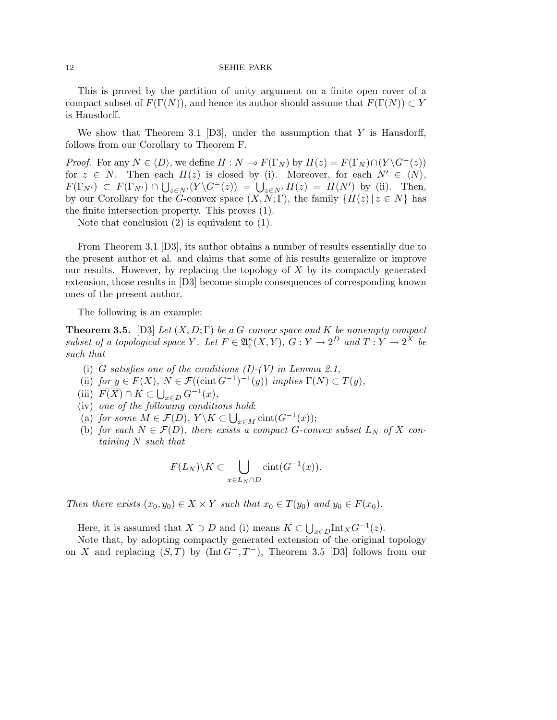This is proved by the partition of unity argument on a finite open cover of a compact subset of  $F(\Gamma(N))$ , and hence its author should assume that  $F(\Gamma(N)) \subset Y$ is Hausdorff.

We show that Theorem 3.1 [D3], under the assumption that Y is Hausdorff, follows from our Corollary to Theorem F.

*Proof.* For any  $N \in \langle D \rangle$ , we define  $H : N \to F(\Gamma_N)$  by  $H(z) = F(\Gamma_N) \cap (Y \setminus G^-(z))$ for  $z \in N$ . Then each  $H(z)$  is closed by (i). Moreover, for each  $N' \in \langle N \rangle$ , F(Γ<sub>N'</sub>)  $\subset F(\Gamma_{N'}) \cap \bigcup_{z \in N'} (Y \setminus G^{-}(z)) = \bigcup_{z \in N'} H(z) = H(N')$  by (ii). Then, by our Corollary for the G-convex space  $(X, N; \Gamma)$ , the family  $\{H(z) | z \in N\}$  has the finite intersection property. This proves (1).

Note that conclusion (2) is equivalent to (1).

From Theorem 3.1 [D3], its author obtains a number of results essentially due to the present author et al. and claims that some of his results generalize or improve our results. However, by replacing the topology of  $X$  by its compactly generated extension, those results in [D3] become simple consequences of corresponding known ones of the present author.

The following is an example:

**Theorem 3.5.** [D3] Let  $(X, D; \Gamma)$  be a G-convex space and K be nonempty compact subset of a topological space Y. Let  $F \in \mathfrak{A}_{c}^{\kappa}(X, Y), G: Y \to 2^D$  and  $T: Y \to 2^X$  be such that

- (i) G satisfies one of the conditions  $(I)-(V)$  in Lemma 2.1,
- (ii) for  $y \in F(X)$ ,  $N \in \mathcal{F}((\text{cint } G^{-1})^{-1}(y))$  implies  $\Gamma(N) \subset T(y)$ ,
- (iii)  $\overline{F(X)} \cap K \subset \bigcup_{x \in D} G^{-1}(x),$
- $(iv)$  one of the following conditions hold:
- (a) for some  $M \in \mathcal{F}(D)$ ,  $Y \backslash K \subset \bigcup_{x \in M} \text{cint}(G^{-1}(x));$
- (b) for each  $N \in \mathcal{F}(D)$ , there exists a compact G-convex subset  $L_N$  of X containing N such that

$$
F(L_N)\backslash K \subset \bigcup_{x\in L_N\cap D} \text{cint}(G^{-1}(x)).
$$

Then there exists  $(x_0, y_0) \in X \times Y$  such that  $x_0 \in T(y_0)$  and  $y_0 \in F(x_0)$ .

Here, it is assumed that  $X \supset D$  and (i) means  $K \subset$  $\bigcup_{x\in D}$ Int $_XG^{-1}(z)$ .

Note that, by adopting compactly generated extension of the original topology on X and replacing  $(S, T)$  by  $(\text{Int } G^-, T^-)$ , Theorem 3.5 [D3] follows from our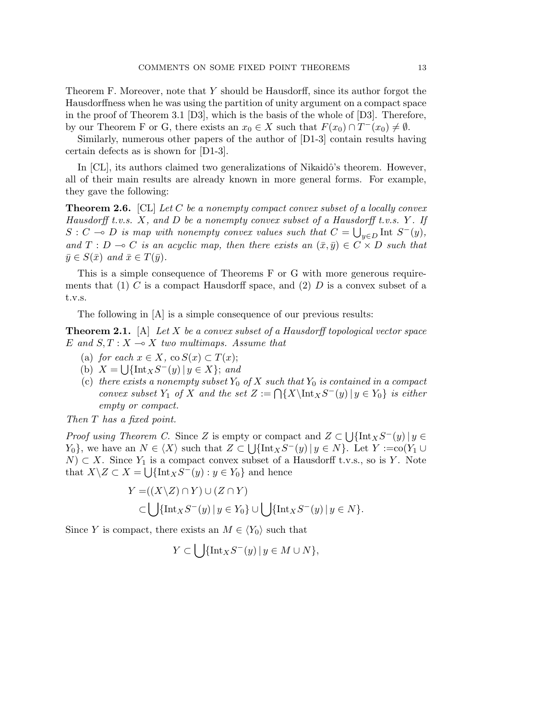Theorem F. Moreover, note that Y should be Hausdorff, since its author forgot the Hausdorffness when he was using the partition of unity argument on a compact space in the proof of Theorem 3.1 [D3], which is the basis of the whole of [D3]. Therefore, by our Theorem F or G, there exists an  $x_0 \in X$  such that  $F(x_0) \cap T^{-}(x_0) \neq \emptyset$ .

Similarly, numerous other papers of the author of [D1-3] contain results having certain defects as is shown for [D1-3].

In  $|CL|$ , its authors claimed two generalizations of Nikaidô's theorem. However, all of their main results are already known in more general forms. For example, they gave the following:

**Theorem 2.6.** [CL] Let C be a nonempty compact convex subset of a locally convex Hausdorff t.v.s. X, and D be a nonempty convex subset of a Hausdorff t.v.s. Y. If  $S: C \multimap D$  is map with nonempty convex values such that  $C = \bigcup_{y \in D} \text{Int } S^-(y)$ , and  $T : D \multimap C$  is an acyclic map, then there exists an  $(\bar{x}, \bar{y}) \in C \times D$  such that  $\bar{y} \in S(\bar{x})$  and  $\bar{x} \in T(\bar{y})$ .

This is a simple consequence of Theorems F or G with more generous requirements that  $(1)$  C is a compact Hausdorff space, and  $(2)$  D is a convex subset of a t.v.s.

The following in [A] is a simple consequence of our previous results:

**Theorem 2.1.** [A] Let X be a convex subset of a Hausdorff topological vector space E and  $S, T: X \rightarrow X$  two multimaps. Assume that

- (a) for each  $x \in X$ , co  $S(x) \subset T(x)$ ;
- (b)  $X = \bigcup \{ \text{Int}_X S^-(y) | y \in X \};$  and
- (c) there exists a nonempty subset  $Y_0$  of  $X$  such that  $Y_0$  is contained in a compact there exists a nonempty subset  $Y_0$  of  $X$  such that  $Y_0$  is contained in a compact<br>convex subset  $Y_1$  of  $X$  and the set  $Z := \bigcap \{X \in XS^-(y) \mid y \in Y_0\}$  is either empty or compact.

Then T has a fixed point.

*Proof using Theorem C.* Since Z is empty or compact and  $Z \subset$ S or compact and  $Z \subset \bigcup \{\text{Int}_X S^-(y) \mid y \in$  $Y_0$ , we have an  $N \in \langle X \rangle$  such that  $Z \subset \bigcup \{ \text{Int}_X S^{-1}(y) \mid y \in N \}$ . Let  $Y := \text{co}(Y_1 \cup Y_1)$  $N$ ) ⊂ X. Since  $Y_1$  is a compact convex subset of a Hausdorff t.v.s., so is Y. Note that  $X \setminus Z \subset X = \bigcup \{ \text{Int}_X S^-(y) : y \in Y_0 \}$  and hence

$$
Y = ((X \setminus Z) \cap Y) \cup (Z \cap Y)
$$
  
\n
$$
\subset \bigcup \{ \text{Int}_X S^-(y) \mid y \in Y_0 \} \cup \bigcup \{ \text{Int}_X S^-(y) \mid y \in N \}.
$$

Since Y is compact, there exists an  $M \in \langle Y_0 \rangle$  such that

$$
Y \subset \bigcup \{ \text{Int}_X S^-(y) \, | \, y \in M \cup N \},\
$$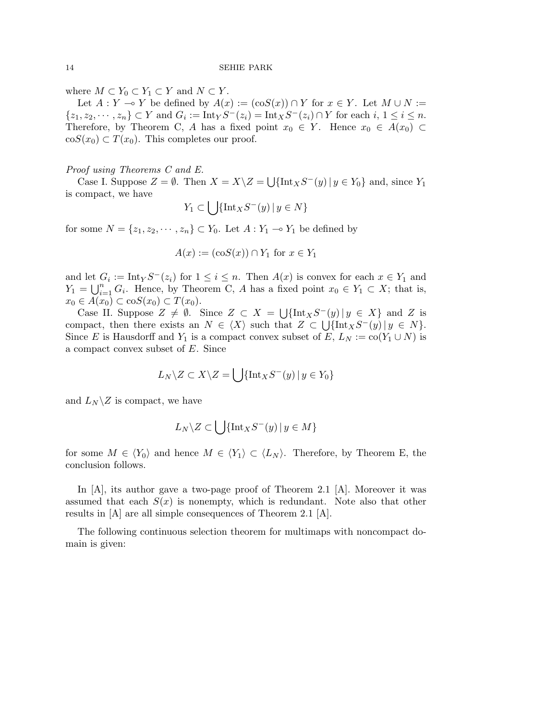where  $M \subset Y_0 \subset Y_1 \subset Y$  and  $N \subset Y$ .

Let  $A: Y \multimap Y$  be defined by  $A(x) := (\cos(x)) \cap Y$  for  $x \in Y$ . Let  $M \cup N :=$  $\{z_1, z_2, \dots, z_n\} \subset Y$  and  $G_i := {\rm Int}_Y S^{-}(z_i) = {\rm Int}_X S^{-}(z_i) \cap Y$  for each  $i, 1 \le i \le n$ . Therefore, by Theorem C, A has a fixed point  $x_0 \in Y$ . Hence  $x_0 \in A(x_0) \subset Y$  $\cos(x_0) \subset T(x_0)$ . This completes our proof.

# Proof using Theorems C and E.

Case I. Suppose  $Z = \emptyset$ . Then  $X = X \setminus Z =$ S  $\{\text{Int}_X S^{-}(y) | y \in Y_0\}$  and, since  $Y_1$ is compact, we have  $\mathbf{r}$ 

$$
Y_1 \subset \bigcup \{ \text{Int}_X S^-(y) \, | \, y \in N \}
$$

for some  $N = \{z_1, z_2, \dots, z_n\} \subset Y_0$ . Let  $A: Y_1 \to Y_1$  be defined by

$$
A(x) := (\cos(x)) \cap Y_1 \text{ for } x \in Y_1
$$

and let  $G_i := \text{Int}_Y S^-(z_i)$  for  $1 \le i \le n$ . Then  $A(x)$  is convex for each  $x \in Y_1$  and  $Y_1 \cup Y_2 \cup \dots \cup Y_n$  and  $Y_n \cup Y_n$  is convex for the set of  $X \subset Y_1$  that is  $Y_1 = \bigcup_{i=1}^n G_i$ . Hence, by Theorem C, A has a fixed point  $x_0 \in Y_1 \subset X$ ; that is,  $x_0 \in A(x_0) \subset \cos(x_0) \subset T(x_0).$ S

Case II. Suppose  $Z \neq \emptyset$ . Since  $Z \subset X =$  $\{\text{Int}_X S^{-}(y) | y \in X\}$  and Z is compact, then there exists an  $N \in \langle X \rangle$  such that  $Z \subset \bigcup \{ \text{Int}_X S^-(y) \mid y \in N \}.$ Since E is Hausdorff and  $Y_1$  is a compact convex subset of E,  $L_N := \text{co}(Y_1 \cup N)$  is a compact convex subset of E. Since

$$
L_N \backslash Z \subset X \backslash Z = \bigcup \{ \text{Int}_X S^-(y) \, | \, y \in Y_0 \}
$$

and  $L_N \backslash Z$  is compact, we have

$$
L_N \backslash Z \subset \bigcup \{ \text{Int}_X S^-(y) \, | \, y \in M \}
$$

for some  $M \in \langle Y_0 \rangle$  and hence  $M \in \langle Y_1 \rangle \subset \langle L_N \rangle$ . Therefore, by Theorem E, the conclusion follows.

In [A], its author gave a two-page proof of Theorem 2.1 [A]. Moreover it was assumed that each  $S(x)$  is nonempty, which is redundant. Note also that other results in [A] are all simple consequences of Theorem 2.1 [A].

The following continuous selection theorem for multimaps with noncompact domain is given: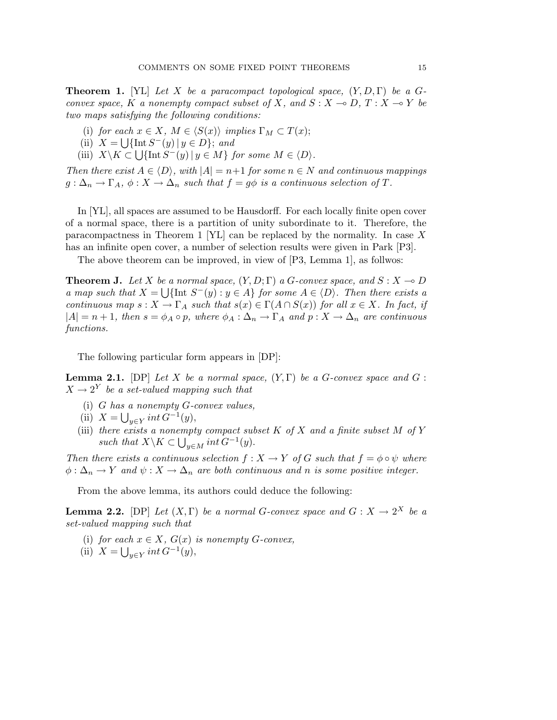**Theorem 1.** [YL] Let X be a paracompact topological space,  $(Y, D, \Gamma)$  be a Gconvex space, K a nonempty compact subset of X, and  $S : X \to D, T : X \to Y$  be two maps satisfying the following conditions:

- (i) for each  $x \in X$ ,  $M \in \langle S(x) \rangle$  implies  $\Gamma_M \subset T(x)$ ;
- (ii)  $X = \bigcup \{ \text{Int } S^-(y) \mid y \in D \};$  and
- (iii)  $X \backslash K \subset \bigcup \{\text{Int } S^-(y) \mid y \in M\}$  for some  $M \in \langle D \rangle$ .

Then there exist  $A \in \langle D \rangle$ , with  $|A| = n+1$  for some  $n \in N$  and continuous mappings  $g: \Delta_n \to \Gamma_A$ ,  $\phi: X \to \Delta_n$  such that  $f = g\phi$  is a continuous selection of T.

In [YL], all spaces are assumed to be Hausdorff. For each locally finite open cover of a normal space, there is a partition of unity subordinate to it. Therefore, the paracompactness in Theorem 1 [YL] can be replaced by the normality. In case X has an infinite open cover, a number of selection results were given in Park [P3].

The above theorem can be improved, in view of [P3, Lemma 1], as follwos:

**Theorem J.** Let X be a normal space,  $(Y, D; \Gamma)$  a G-convex space, and  $S: X \to D$ a map such that  $X = \bigcup \{ \text{Int } S^-(y) : y \in A \}$  for some  $A \in \langle D \rangle$ . Then there exists a continuous map  $s: X \to \Gamma_A$  such that  $s(x) \in \Gamma(A \cap S(x))$  for all  $x \in X$ . In fact, if  $|A| = n + 1$ , then  $s = \phi_A \circ p$ , where  $\phi_A : \Delta_n \to \Gamma_A$  and  $p : X \to \Delta_n$  are continuous functions.

The following particular form appears in [DP]:

**Lemma 2.1.** [DP] Let X be a normal space,  $(Y, \Gamma)$  be a G-convex space and G:  $X \to 2^Y$  be a set-valued mapping such that

- (i) G has a nonempty G-convex values,
- (ii)  $X = \bigcup_{y \in Y} int G^{-1}(y),$
- (iii) there exists a nonempty compact subset K of X and a finite subset M of Y such that  $X \backslash K \subset \bigcup_{y \in M} int G^{-1}(y)$ .

Then there exists a continuous selection  $f : X \to Y$  of G such that  $f = \phi \circ \psi$  where  $\phi : \Delta_n \to Y$  and  $\psi : X \to \Delta_n$  are both continuous and n is some positive integer.

From the above lemma, its authors could deduce the following:

**Lemma 2.2.** [DP] Let  $(X, \Gamma)$  be a normal G-convex space and  $G: X \to 2^X$  be a set-valued mapping such that

- (i) for each  $x \in X$ ,  $G(x)$  is nonempty G-convex,
- (ii)  $X = \bigcup_{y \in Y} int G^{-1}(y),$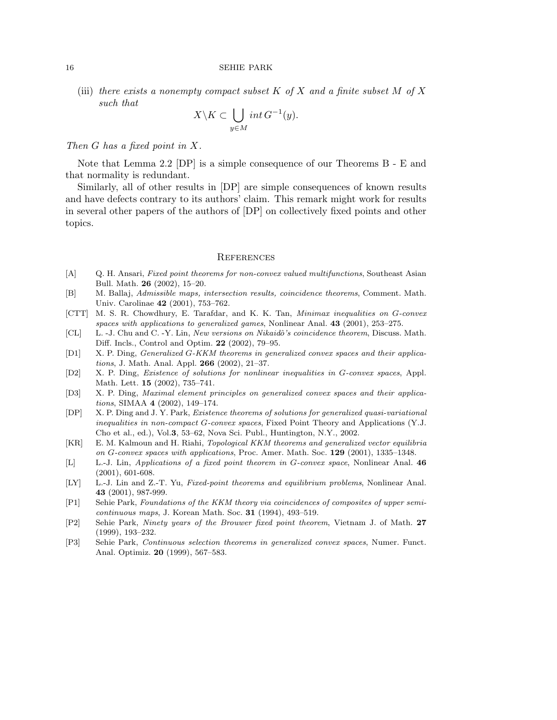(iii) there exists a nonempty compact subset K of X and a finite subset M of X such that  $\mathbf{r}$ 

$$
X \backslash K \subset \bigcup_{y \in M} int \, G^{-1}(y).
$$

Then G has a fixed point in X.

Note that Lemma 2.2 [DP] is a simple consequence of our Theorems B - E and that normality is redundant.

Similarly, all of other results in [DP] are simple consequences of known results and have defects contrary to its authors' claim. This remark might work for results in several other papers of the authors of [DP] on collectively fixed points and other topics.

#### **REFERENCES**

- [A] Q. H. Ansari, Fixed point theorems for non-convex valued multifunctions, Southeast Asian Bull. Math. 26 (2002), 15–20.
- [B] M. Ballaj, Admissible maps, intersection results, coincidence theorems, Comment. Math. Univ. Carolinae 42 (2001), 753–762.
- [CTT] M. S. R. Chowdhury, E. Tarafdar, and K. K. Tan, Minimax inequalities on G-convex spaces with applications to generalized games, Nonlinear Anal. 43 (2001), 253-275.
- [CL] L. -J. Chu and C. -Y. Lin, New versions on Nikaidoˆ's coincidence theorem, Discuss. Math. Diff. Incls., Control and Optim. 22 (2002), 79–95.
- [D1] X. P. Ding, Generalized G-KKM theorems in generalized convex spaces and their applications, J. Math. Anal. Appl. 266 (2002), 21–37.
- [D2] X. P. Ding, Existence of solutions for nonlinear inequalities in G-convex spaces, Appl. Math. Lett. 15 (2002), 735–741.
- [D3] X. P. Ding, Maximal element principles on generalized convex spaces and their applications, SIMAA 4 (2002), 149–174.
- [DP] X. P. Ding and J. Y. Park, Existence theorems of solutions for generalized quasi-variational inequalities in non-compact G-convex spaces, Fixed Point Theory and Applications (Y.J. Cho et al., ed.), Vol.3, 53–62, Nova Sci. Publ., Huntington, N.Y., 2002.
- [KR] E. M. Kalmoun and H. Riahi, Topological KKM theorems and generalized vector equilibria on G-convex spaces with applications, Proc. Amer. Math. Soc. 129 (2001), 1335–1348.
- [L] L.-J. Lin, Applications of a fixed point theorem in G-convex space, Nonlinear Anal. 46 (2001), 601-608.
- [LY] L.-J. Lin and Z.-T. Yu, Fixed-point theorems and equilibrium problems, Nonlinear Anal. 43 (2001), 987-999.
- [P1] Sehie Park, Foundations of the KKM theory via coincidences of composites of upper semicontinuous maps, J. Korean Math. Soc. 31 (1994), 493–519.
- [P2] Sehie Park, Ninety years of the Brouwer fixed point theorem, Vietnam J. of Math. 27 (1999), 193–232.
- [P3] Sehie Park, Continuous selection theorems in generalized convex spaces, Numer. Funct. Anal. Optimiz. 20 (1999), 567–583.